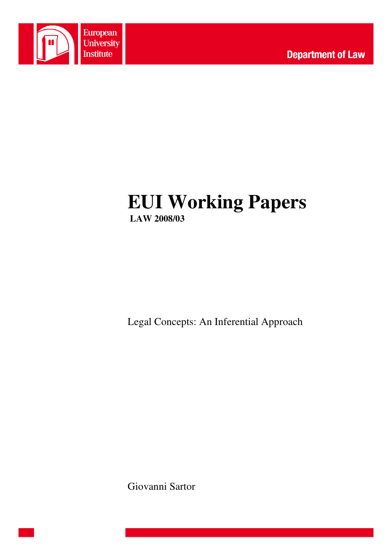

# **EUI Working Papers LAW 2008/03**

Legal Concepts: An Inferential Approach

Giovanni Sartor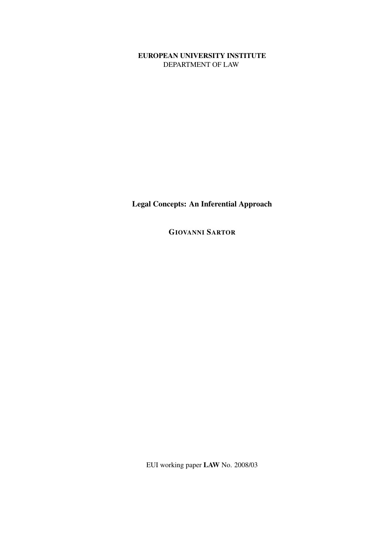EUROPEAN UNIVERSITY INSTITUTE DEPARTMENT OF LAW

Legal Concepts: An Inferential Approach

GIOVANNI SARTOR

EUI working paper LAW No. 2008/03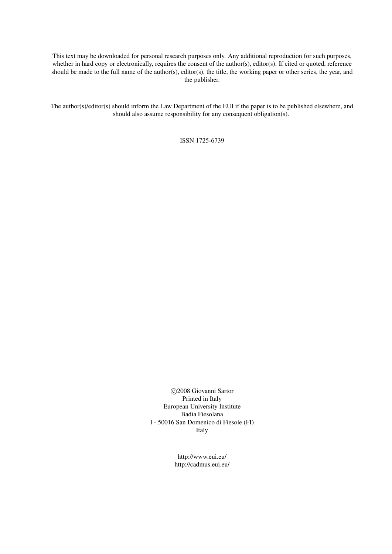This text may be downloaded for personal research purposes only. Any additional reproduction for such purposes, whether in hard copy or electronically, requires the consent of the author(s), editor(s). If cited or quoted, reference should be made to the full name of the author(s), editor(s), the title, the working paper or other series, the year, and the publisher.

The author(s)/editor(s) should inform the Law Department of the EUI if the paper is to be published elsewhere, and should also assume responsibility for any consequent obligation(s).

ISSN 1725-6739

 c 2008 Giovanni Sartor Printed in Italy European University Institute Badia Fiesolana I - 50016 San Domenico di Fiesole (FI) Italy

> http://www.eui.eu/ http://cadmus.eui.eu/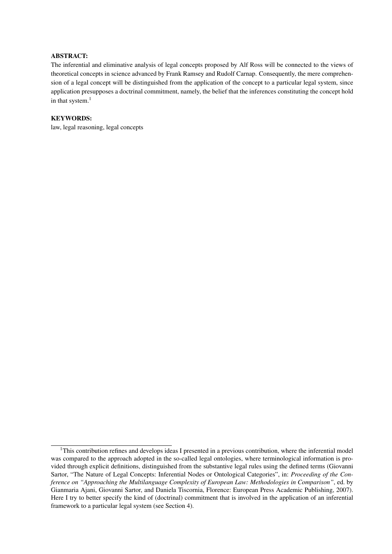#### ABSTRACT:

The inferential and eliminative analysis of legal concepts proposed by Alf Ross will be connected to the views of theoretical concepts in science advanced by Frank Ramsey and Rudolf Carnap. Consequently, the mere comprehension of a legal concept will be distinguished from the application of the concept to a particular legal system, since application presupposes a doctrinal commitment, namely, the belief that the inferences constituting the concept hold in that system.<sup>1</sup>

#### KEYWORDS:

law, legal reasoning, legal concepts

 $1$ This contribution refines and develops ideas I presented in a previous contribution, where the inferential model was compared to the approach adopted in the so-called legal ontologies, where terminological information is provided through explicit definitions, distinguished from the substantive legal rules using the defined terms (Giovanni Sartor, "The Nature of Legal Concepts: Inferential Nodes or Ontological Categories", in: *Proceeding of the Conference on "Approaching the Multilanguage Complexity of European Law: Methodologies in Comparison"*, ed. by Gianmaria Ajani, Giovanni Sartor, and Daniela Tiscornia, Florence: European Press Academic Publishing, 2007). Here I try to better specify the kind of (doctrinal) commitment that is involved in the application of an inferential framework to a particular legal system (see Section 4).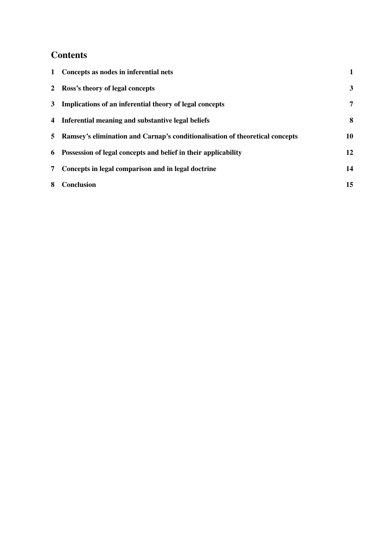# **Contents**

| $\mathbf{1}$ | Concepts as nodes in inferential nets                                        | $\mathbf{1}$ |
|--------------|------------------------------------------------------------------------------|--------------|
|              | 2 Ross's theory of legal concepts                                            | 3            |
|              | 3 Implications of an inferential theory of legal concepts                    | 7            |
|              | 4 Inferential meaning and substantive legal beliefs                          | 8            |
| 5.           | Ramsey's elimination and Carnap's conditionalisation of theoretical concepts | 10           |
|              | 6 Possession of legal concepts and belief in their applicability             | 12           |
| 7            | Concepts in legal comparison and in legal doctrine                           | 14           |
| 8            | <b>Conclusion</b>                                                            | 15           |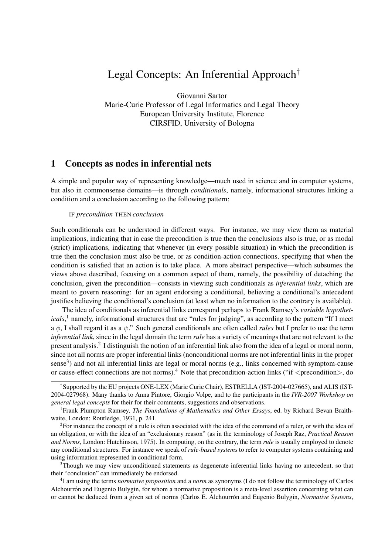# Legal Concepts: An Inferential Approach†

Giovanni Sartor Marie-Curie Professor of Legal Informatics and Legal Theory European University Institute, Florence CIRSFID, University of Bologna

### 1 Concepts as nodes in inferential nets

A simple and popular way of representing knowledge—much used in science and in computer systems, but also in commonsense domains—is through *conditionals*, namely, informational structures linking a condition and a conclusion according to the following pattern:

#### IF *precondition* THEN *conclusion*

Such conditionals can be understood in different ways. For instance, we may view them as material implications, indicating that in case the precondition is true then the conclusions also is true, or as modal (strict) implications, indicating that whenever (in every possible situation) in which the precondition is true then the conclusion must also be true, or as condition-action connections, specifying that when the condition is satisfied that an action is to take place. A more abstract perspective—which subsumes the views above described, focusing on a common aspect of them, namely, the possibility of detaching the conclusion, given the precondition—consists in viewing such conditionals as *inferential links*, which are meant to govern reasoning: for an agent endorsing a conditional, believing a conditional's antecedent justifies believing the conditional's conclusion (at least when no information to the contrary is available).

The idea of conditionals as inferential links correspond perhaps to Frank Ramsey's *variable hypotheticals*, <sup>1</sup> namely, informational structures that are "rules for judging", as according to the pattern "If I meet a φ, I shall regard it as a ψ." Such general conditionals are often called *rules* but I prefer to use the term *inferential link*, since in the legal domain the term *rule* has a variety of meanings that are not relevant to the present analysis.<sup>2</sup> I distinguish the notion of an inferential link also from the idea of a legal or moral norm, since not all norms are proper inferential links (nonconditional norms are not inferential links in the proper sense<sup>3</sup>) and not all inferential links are legal or moral norms (e.g., links concerned with symptom-cause or cause-effect connections are not norms).<sup>4</sup> Note that precondition-action links ("if  $\leq$  precondition $>$ , do

 $3$ Though we may view unconditioned statements as degenerate inferential links having no antecedent, so that their "conclusion" can immediately be endorsed.

4 I am using the terms *normative proposition* and a *norm* as synonyms (I do not follow the terminology of Carlos Alchourrón and Eugenio Bulygin, for whom a normative proposition is a meta-level assertion concerning what can or cannot be deduced from a given set of norms (Carlos E. Alchourrón and Eugenio Bulygin, *Normative Systems*,

<sup>†</sup>Supported by the EU projects ONE-LEX (Marie Curie Chair), ESTRELLA (IST-2004-027665), and ALIS (IST-2004-027968). Many thanks to Anna Pintore, Giorgio Volpe, and to the participants in the *IVR-2007 Workshop on general legal concepts* for their for their comments, suggestions and observations.

<sup>1</sup>Frank Plumpton Ramsey, *The Foundations of Mathematics and Other Essays*, ed. by Richard Bevan Braithwaite, London: Routledge, 1931, p. 241.

<sup>&</sup>lt;sup>2</sup>For instance the concept of a rule is often associated with the idea of the command of a ruler, or with the idea of an obligation, or with the idea of an "exclusionary reason" (as in the terminology of Joseph Raz, *Practical Reason and Norms*, London: Hutchinson, 1975). In computing, on the contrary, the term *rule* is usually employed to denote any conditional structures. For instance we speak of *rule-based systems* to refer to computer systems containing and using information represented in conditional form.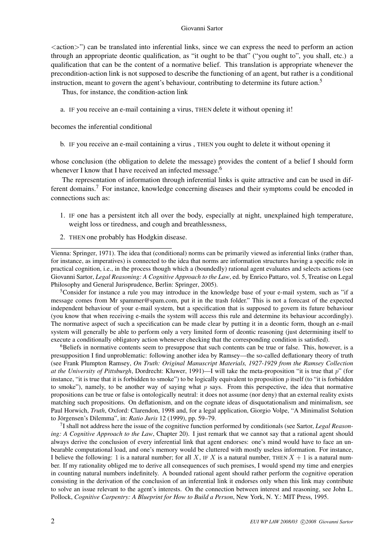#### Giovanni Sartor

 $\langle \text{action} \rangle$ ") can be translated into inferential links, since we can express the need to perform an action through an appropriate deontic qualification, as "it ought to be that" ("you ought to", you shall, etc.) a qualification that can be the content of a normative belief. This translation is appropriate whenever the precondition-action link is not supposed to describe the functioning of an agent, but rather is a conditional instruction, meant to govern the agent's behaviour, contributing to determine its future action.<sup>5</sup>

Thus, for instance, the condition-action link

a. IF you receive an e-mail containing a virus, THEN delete it without opening it!

becomes the inferential conditional

b. IF you receive an e-mail containing a virus , THEN you ought to delete it without opening it

whose conclusion (the obligation to delete the message) provides the content of a belief I should form whenever I know that I have received an infected message.<sup>6</sup>

The representation of information through inferential links is quite attractive and can be used in different domains.<sup>7</sup> For instance, knowledge concerning diseases and their symptoms could be encoded in connections such as:

- 1. IF one has a persistent itch all over the body, especially at night, unexplained high temperature, weight loss or tiredness, and cough and breathlessness,
- 2. THEN one probably has Hodgkin disease.

Vienna: Springer, 1971). The idea that (conditional) norms can be primarily viewed as inferential links (rather than, for instance, as imperatives) is connected to the idea that norms are information structures having a specific role in practical cognition, i.e., in the process though which a (boundedly) rational agent evaluates and selects actions (see Giovanni Sartor, *Legal Reasoning: A Cognitive Approach to the Law*, ed. by Enrico Pattaro, vol. 5, Treatise on Legal Philosophy and General Jurisprudence, Berlin: Springer, 2005).

<sup>5</sup>Consider for instance a rule you may introduce in the knowledge base of your e-mail system, such as "if a message comes from Mr spammer@spam.com, put it in the trash folder." This is not a forecast of the expected independent behaviour of your e-mail system, but a specification that is supposed to govern its future behaviour (you know that when receiving e-mails the system will access this rule and determine its behaviour accordingly). The normative aspect of such a specification can be made clear by putting it in a deontic form, though an e-mail system will generally be able to perform only a very limited form of deontic reasoning (just determining itself to execute a conditionally obligatory action whenever checking that the corresponding condition is satisfied).

<sup>6</sup>Beliefs in normative contents seem to presuppose that such contents can be true or false. This, however, is a presupposition I find unproblematic: following another idea by Ramsey—the so-called deflationary theory of truth (see Frank Plumpton Ramsey, *On Truth: Original Manuscript Materials, 1927-1929 from the Ramsey Collection at the University of Pittsburgh*, Dordrecht: Kluwer, 1991)—I will take the meta-proposition "it is true that p" (for instance, "it is true that it is forbidden to smoke") to be logically equivalent to proposition  $p$  itself (to "it is forbidden to smoke"), namely, to be another way of saying what  $p$  says. From this perspective, the idea that normative propositions can be true or false is ontologically neutral: it does not assume (nor deny) that an external reality exists matching such propositions. On deflationism, and on the cognate ideas of disquotationalism and minimalism, see Paul Horwich, *Truth*, Oxford: Clarendon, 1998 and, for a legal application, Giorgio Volpe, "A Minimalist Solution to Jörgensen's Dilemma", in: *Ratio Juris* 12 (1999), pp. 59–79.

7 I shall not address here the issue of the cognitive function performed by conditionals (see Sartor, *Legal Reasoning: A Cognitive Approach to the Law*, Chapter 20). I just remark that we cannot say that a rational agent should always derive the conclusion of every inferential link that agent endorses: one's mind would have to face an unbearable computational load, and one's memory would be cluttered with mostly useless information. For instance, I believe the following: 1 is a natural number; for all X, IF X is a natural number, THEN  $X + 1$  is a natural number. If my rationality obliged me to derive all consequences of such premises, I would spend my time and energies in counting natural numbers indefinitely. A bounded rational agent should rather perform the cognitive operation consisting in the derivation of the conclusion of an inferential link it endorses only when this link may contribute to solve an issue relevant to the agent's interests. On the connection between interest and reasoning, see John L. Pollock, *Cognitive Carpentry: A Blueprint for How to Build a Person*, New York, N. Y.: MIT Press, 1995.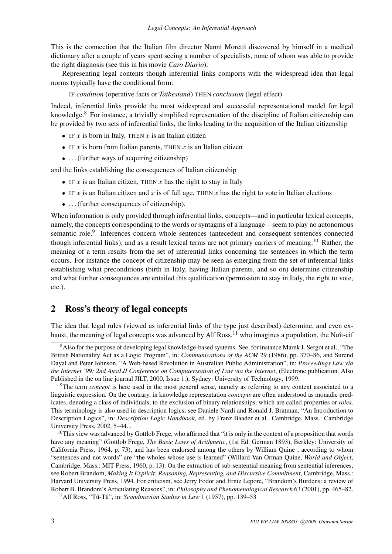This is the connection that the Italian film director Nanni Moretti discovered by himself in a medical dictionary after a couple of years spent seeing a number of specialists, none of whom was able to provide the right diagnosis (see this in his movie *Caro Diario*).

Representing legal contents though inferential links comports with the widespread idea that legal norms typically have the conditional form:

IF *condition* (operative facts or *Tatbestand*) THEN *conclusion* (legal effect)

Indeed, inferential links provide the most widespread and successful representational model for legal knowledge.<sup>8</sup> For instance, a trivially simplified representation of the discipline of Italian citizenship can be provided by two sets of inferential links, the links leading to the acquisition of the Italian citizenship

- IF  $x$  is born in Italy, THEN  $x$  is an Italian citizen
- IF x is born from Italian parents, THEN x is an Italian citizen
- ... (further ways of acquiring citizenship)

and the links establishing the consequences of Italian citizenship

- IF x is an Italian citizen, THEN x has the right to stay in Italy
- IF x is an Italian citizen and x is of full age, THEN x has the right to vote in Italian elections
- . . . (further consequences of citizenship).

When information is only provided through inferential links, concepts—and in particular lexical concepts, namely, the concepts corresponding to the words or syntagms of a language—seem to play no autonomous semantic role.<sup>9</sup> Inferences concern whole sentences (antecedent and consequent sentences connected though inferential links), and as a result lexical terms are not primary carriers of meaning.<sup>10</sup> Rather, the meaning of a term results from the set of inferential links concerning the sentences in which the term occurs. For instance the concept of citizenship may be seen as emerging from the set of inferential links establishing what preconditions (birth in Italy, having Italian parents, and so on) determine citizenship and what further consequences are entailed this qualification (permission to stay in Italy, the right to vote, etc.).

# 2 Ross's theory of legal concepts

The idea that legal rules (viewed as inferential links of the type just described) determine, and even exhaust, the meaning of legal concepts was advanced by Alf Ross,<sup>11</sup> who imagines a population, the Noît-cif

<sup>11</sup> Alf Ross, "Tû-Tû", in: *Scandinavian Studies in Law* 1 (1957), pp. 139–53

<sup>8</sup>Also for the purpose of developing legal knowledge-based systems. See, for instance Marek J. Sergot et al., "The British Nationality Act as a Logic Program", in: *Communications of the ACM* 29 (1986), pp. 370–86, and Surend Dayal and Peter Johnson, "A Web-based Revolution in Australian Public Administration", in: *Proceedings Law via the Internet '99: 2nd AustLII Conference on Computerisation of Law via the Internet*, (Electronc publication. Also Published in the on line journal JILT, 2000, Issue 1.), Sydney: University of Technology, 1999.

<sup>9</sup>The term *concept* is here used in the most general sense, namely as referring to any content associated to a linguistic expression. On the contrary, in knowledge representation *concepts* are often understood as monadic predicates, denoting a class of individuals, to the exclusion of binary relationships, which are called properties or *roles*. This terminology is also used in description logics, see Daniele Nardi and Ronald J. Bratman, "An Introduction to Description Logics", in: *Description Logic Handbook*, ed. by Franz Baader et al., Cambridge, Mass.: Cambridge University Press, 2002, 5–44. .

<sup>&</sup>lt;sup>10</sup>This view was advanced by Gottlob Frege, who affirmed that "it is only in the context of a proposition that words have any meaning" (Gottlob Frege, *The Basic Laws of Arithmetic*, (1st Ed. German 1893), Berkley: University of California Press, 1964, p. 73), and has been endorsed among the others by William Quine , according to whom "sentences and not words" are "the wholes whose use is learned" (Willard Van Orman Quine, *World and Object*, Cambridge, Mass.: MIT Press, 1960, p. 13). On the extraction of sub-sentential meaning from sentential inferences, see Robert Brandom, *Making It Explicit: Reasoning, Representing, and Discursive Commitment*, Cambridge, Mass.: Harvard University Press, 1994. For criticism, see Jerry Fodor and Ernie Lepore, "Brandom's Burdens: a review of Robert B. Brandom's Articulating Reasons", in: *Philosophy and Phenomenological Research* 63 (2001), pp. 465–82.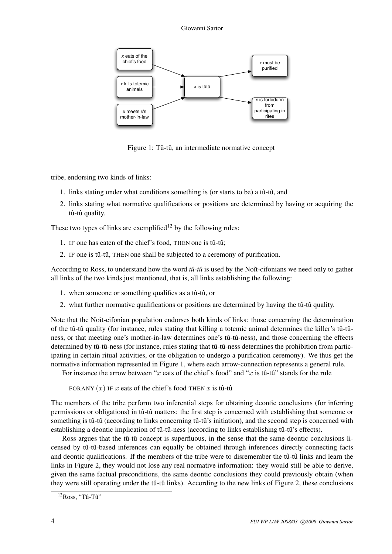

Figure 1: Tû-tû, an intermediate normative concept

tribe, endorsing two kinds of links:

- 1. links stating under what conditions something is (or starts to be) a tû-tû, and
- 2. links stating what normative qualifications or positions are determined by having or acquiring the tû-tû quality.

These two types of links are exemplified<sup>12</sup> by the following rules:

- 1. IF one has eaten of the chief's food, THEN one is tû-tû;
- 2. IF one is tû-tû, THEN one shall be subjected to a ceremony of purification.

According to Ross, to understand how the word *tû-tû* is used by the Noît-cifonians we need only to gather all links of the two kinds just mentioned, that is, all links establishing the following:

- 1. when someone or something qualifies as a tû-tû, or
- 2. what further normative qualifications or positions are determined by having the tû-tû quality.

Note that the Noît-cifonian population endorses both kinds of links: those concerning the determination of the tû-tû quality (for instance, rules stating that killing a totemic animal determines the killer's tû-tûness, or that meeting one's mother-in-law determines one's tû-tû-ness), and those concerning the effects determined by tû-tû-ness (for instance, rules stating that tû-tû-ness determines the prohibition from participating in certain ritual activities, or the obligation to undergo a purification ceremony). We thus get the normative information represented in Figure 1, where each arrow-connection represents a general rule.

For instance the arrow between "x eats of the chief's food" and "x is tû-tû" stands for the rule

FORANY  $(x)$  IF x eats of the chief's food THEN x is tû-tû

The members of the tribe perform two inferential steps for obtaining deontic conclusions (for inferring permissions or obligations) in tû-tû matters: the first step is concerned with establishing that someone or something is tû-tû (according to links concerning tû-tû's initiation), and the second step is concerned with establishing a deontic implication of tû-tû-ness (according to links establishing tû-tû's effects).

Ross argues that the tû-tû concept is superfluous, in the sense that the same deontic conclusions licensed by tû-tû-based inferences can equally be obtained through inferences directly connecting facts and deontic qualifications. If the members of the tribe were to disremember the  $t\hat{u}$ -t $\hat{u}$  links and learn the links in Figure 2, they would not lose any real normative information: they would still be able to derive, given the same factual preconditions, the same deontic conclusions they could previously obtain (when they were still operating under the tû-tû links). According to the new links of Figure 2, these conclusions

 $12$ Ross, "Tû-Tû"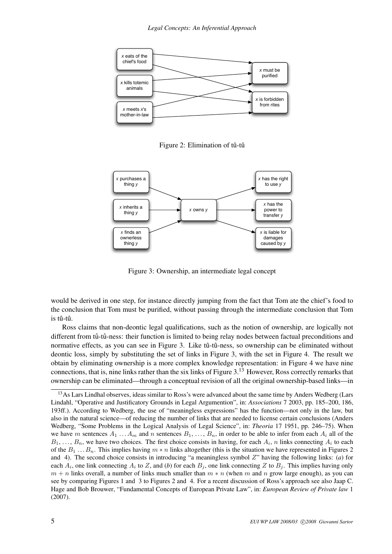

Figure 2: Elimination of tû-tû



Figure 3: Ownership, an intermediate legal concept

would be derived in one step, for instance directly jumping from the fact that Tom ate the chief's food to the conclusion that Tom must be purified, without passing through the intermediate conclusion that Tom  $i$ s tû-tû.

Ross claims that non-deontic legal qualifications, such as the notion of ownership, are logically not different from tû-tû-ness: their function is limited to being relay nodes between factual preconditions and normative effects, as you can see in Figure 3. Like tû-tû-ness, so ownership can be eliminated without deontic loss, simply by substituting the set of links in Figure 3, with the set in Figure 4. The result we obtain by eliminating ownership is a more complex knowledge representation: in Figure 4 we have nine connections, that is, nine links rather than the six links of Figure  $3<sup>13</sup>$  However, Ross correctly remarks that ownership can be eliminated—through a conceptual revision of all the original ownership-based links—in

<sup>&</sup>lt;sup>13</sup>As Lars Lindhal observes, ideas similar to Ross's were advanced about the same time by Anders Wedberg (Lars Lindahl, "Operative and Justificatory Grounds in Legal Argumention", in: *Associations* 7 2003, pp. 185–200, 186, 193ff.). According to Wedberg, the use of "meaningless expressions" has the function—not only in the law, but also in the natural science—of reducing the number of links that are needed to license certain conclusions (Anders Wedberg, "Some Problems in the Logical Analysis of Legal Science", in: *Theoria* 17 1951, pp. 246–75). When we have m sentences  $A_1 \ldots A_m$  and n sentences  $B_1, \ldots, B_n$ , in order to be able to infer from each  $A_i$  all of the  $B_1, \ldots, B_n$ , we have two choices. The first choice consists in having, for each  $A_i$ , n links connecting  $A_i$  to each of the  $B_1 \dots B_n$ . This implies having  $m * n$  links altogether (this is the situation we have represented in Figures 2 and 4). The second choice consists in introducing "a meaningless symbol  $Z$ " having the following links: (*a*) for each  $A_i$ , one link connecting  $A_i$  to Z, and (*b*) for each  $B_j$ , one link connecting Z to  $B_j$ . This implies having only  $m + n$  links overall, a number of links much smaller than  $m * n$  (when m and n grow large enough), as you can see by comparing Figures 1 and 3 to Figures 2 and 4. For a recent discussion of Ross's approach see also Jaap C. Hage and Bob Brouwer, "Fundamental Concepts of European Private Law", in: *European Review of Private law* 1 (2007).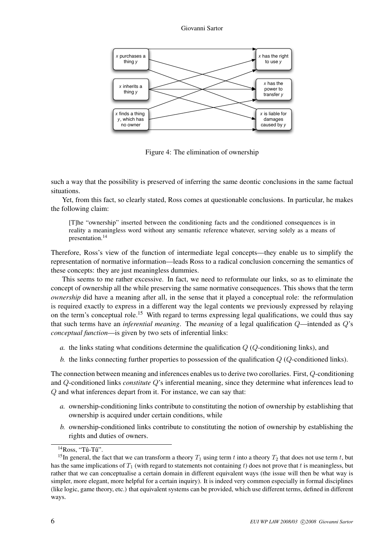

Figure 4: The elimination of ownership

such a way that the possibility is preserved of inferring the same deontic conclusions in the same factual situations.

Yet, from this fact, so clearly stated, Ross comes at questionable conclusions. In particular, he makes the following claim:

[T]he "ownership" inserted between the conditioning facts and the conditioned consequences is in reality a meaningless word without any semantic reference whatever, serving solely as a means of presentation.<sup>14</sup>

Therefore, Ross's view of the function of intermediate legal concepts—they enable us to simplify the representation of normative information—leads Ross to a radical conclusion concerning the semantics of these concepts: they are just meaningless dummies.

This seems to me rather excessive. In fact, we need to reformulate our links, so as to eliminate the concept of ownership all the while preserving the same normative consequences. This shows that the term *ownership* did have a meaning after all, in the sense that it played a conceptual role: the reformulation is required exactly to express in a different way the legal contents we previously expressed by relaying on the term's conceptual role.<sup>15</sup> With regard to terms expressing legal qualifications, we could thus say that such terms have an *inferential meaning*. The *meaning* of a legal qualification Q—intended as Q's *conceptual function*—is given by two sets of inferential links:

- *a.* the links stating what conditions determine the qualification Q (Q-conditioning links), and
- *b.* the links connecting further properties to possession of the qualification Q (Q-conditioned links).

The connection between meaning and inferences enables us to derive two corollaries. First, Q-conditioning and Q-conditioned links *constitute* Q's inferential meaning, since they determine what inferences lead to Q and what inferences depart from it. For instance, we can say that:

- *a.* ownership-conditioning links contribute to constituting the notion of ownership by establishing that ownership is acquired under certain conditions, while
- *b.* ownership-conditioned links contribute to constituting the notion of ownership by establishing the rights and duties of owners.

 $14$ Ross, "Tû-Tû".

<sup>&</sup>lt;sup>15</sup>In general, the fact that we can transform a theory  $T_1$  using term t into a theory  $T_2$  that does not use term t, but has the same implications of  $T_1$  (with regard to statements not containing t) does not prove that t is meaningless, but rather that we can conceptualise a certain domain in different equivalent ways (the issue will then be what way is simpler, more elegant, more helpful for a certain inquiry). It is indeed very common especially in formal disciplines (like logic, game theory, etc.) that equivalent systems can be provided, which use different terms, defined in different ways.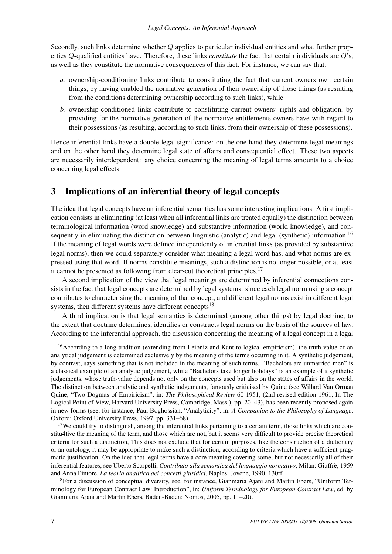Secondly, such links determine whether Q applies to particular individual entities and what further properties Q-qualified entities have. Therefore, these links *constitute* the fact that certain individuals are Q's, as well as they constitute the normative consequences of this fact. For instance, we can say that:

- *a.* ownership-conditioning links contribute to constituting the fact that current owners own certain things, by having enabled the normative generation of their ownership of those things (as resulting from the conditions determining ownership according to such links), while
- *b.* ownership-conditioned links contribute to constituting current owners' rights and obligation, by providing for the normative generation of the normative entitlements owners have with regard to their possessions (as resulting, according to such links, from their ownership of these possessions).

Hence inferential links have a double legal significance: on the one hand they determine legal meanings and on the other hand they determine legal state of affairs and consequential effect. These two aspects are necessarily interdependent: any choice concerning the meaning of legal terms amounts to a choice concerning legal effects.

# 3 Implications of an inferential theory of legal concepts

The idea that legal concepts have an inferential semantics has some interesting implications. A first implication consists in eliminating (at least when all inferential links are treated equally) the distinction between terminological information (word knowledge) and substantive information (world knowledge), and consequently in eliminating the distinction between linguistic (analytic) and legal (synthetic) information.<sup>16</sup> If the meaning of legal words were defined independently of inferential links (as provided by substantive legal norms), then we could separately consider what meaning a legal word has, and what norms are expressed using that word. If norms constitute meanings, such a distinction is no longer possible, or at least it cannot be presented as following from clear-cut theoretical principles.<sup>17</sup>

A second implication of the view that legal meanings are determined by inferential connections consists in the fact that legal concepts are determined by legal systems: since each legal norm using a concept contributes to characterising the meaning of that concept, and different legal norms exist in different legal systems, then different systems have different concepts<sup>18</sup>

A third implication is that legal semantics is determined (among other things) by legal doctrine, to the extent that doctrine determines, identifies or constructs legal norms on the basis of the sources of law. According to the inferential approach, the discussion concerning the meaning of a legal concept in a legal

<sup>17</sup>We could try to distinguish, among the inferential links pertaining to a certain term, those links which are constitu4tive the meaning of the term, and those which are not, but it seems very difficult to provide precise theoretical criteria for such a distinction, This does not exclude that for certain purposes, like the construction of a dictionary or an ontology, it may be appropriate to make such a distinction, according to criteria which have a sufficient pragmatic justification. On the idea that legal terms have a core meaning covering some, but not necessarily all of their inferential features, see Uberto Scarpelli, *Contributo alla semantica del linguaggio normativo*, Milan: Giuffre, 1959 ` and Anna Pintore, *La teoria analitica dei concetti giuridici*, Naples: Jovene, 1990, 130ff.

<sup>18</sup>For a discussion of conceptual diversity, see, for instance, Gianmaria Ajani and Martin Ebers, "Uniform Terminology for European Contract Law: Introduction", in: *Uniform Terminology for European Contract Law*, ed. by Gianmaria Ajani and Martin Ebers, Baden-Baden: Nomos, 2005, pp. 11–20).

<sup>&</sup>lt;sup>16</sup> According to a long tradition (extending from Leibniz and Kant to logical empiricism), the truth-value of an analytical judgement is determined exclusively by the meaning of the terms occurring in it. A synthetic judgement, by contrast, says something that is not included in the meaning of such terms. "Bachelors are unmarried men" is a classical example of an analytic judgement, while "Bachelors take longer holidays" is an example of a synthetic judgements, whose truth-value depends not only on the concepts used but also on the states of affairs in the world. The distinction between analytic and synthetic judgements, famously criticised by Quine (see Willard Van Orman Quine, "Two Dogmas of Empiricism", in: *The Philosophical Review* 60 1951, (2nd revised edition 1961, In The Logical Point of View, Harvard University Press, Cambridge, Mass.), pp. 20–43), has been recently proposed again in new forms (see, for instance, Paul Boghossian, "Analyticity", in: *A Companion to the Philosophy of Language*, Oxford: Oxford University Press, 1997, pp. 331–68).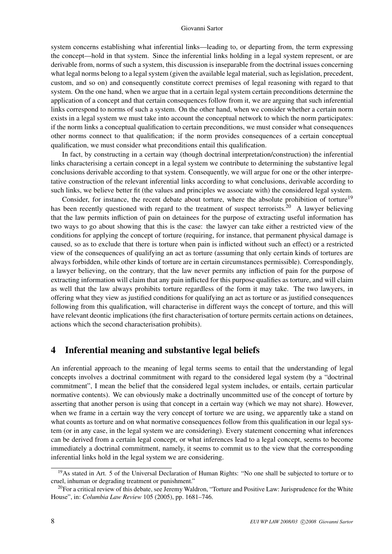#### Giovanni Sartor

system concerns establishing what inferential links—leading to, or departing from, the term expressing the concept—hold in that system. Since the inferential links holding in a legal system represent, or are derivable from, norms of such a system, this discussion is inseparable from the doctrinal issues concerning what legal norms belong to a legal system (given the available legal material, such as legislation, precedent, custom, and so on) and consequently constitute correct premises of legal reasoning with regard to that system. On the one hand, when we argue that in a certain legal system certain preconditions determine the application of a concept and that certain consequences follow from it, we are arguing that such inferential links correspond to norms of such a system. On the other hand, when we consider whether a certain norm exists in a legal system we must take into account the conceptual network to which the norm participates: if the norm links a conceptual qualification to certain preconditions, we must consider what consequences other norms connect to that qualification; if the norm provides consequences of a certain conceptual qualification, we must consider what preconditions entail this qualification.

In fact, by constructing in a certain way (though doctrinal interpretation/construction) the inferential links characterising a certain concept in a legal system we contribute to determining the substantive legal conclusions derivable according to that system. Consequently, we will argue for one or the other interpretative construction of the relevant inferential links according to what conclusions, derivable according to such links, we believe better fit (the values and principles we associate with) the considered legal system.

Consider, for instance, the recent debate about torture, where the absolute prohibition of torture<sup>19</sup> has been recently questioned with regard to the treatment of suspect terrorists.<sup>20</sup> A lawyer believing that the law permits infliction of pain on detainees for the purpose of extracting useful information has two ways to go about showing that this is the case: the lawyer can take either a restricted view of the conditions for applying the concept of torture (requiring, for instance, that permanent physical damage is caused, so as to exclude that there is torture when pain is inflicted without such an effect) or a restricted view of the consequences of qualifying an act as torture (assuming that only certain kinds of tortures are always forbidden, while other kinds of torture are in certain circumstances permissible). Correspondingly, a lawyer believing, on the contrary, that the law never permits any infliction of pain for the purpose of extracting information will claim that any pain inflicted for this purpose qualifies as torture, and will claim as well that the law always prohibits torture regardless of the form it may take. The two lawyers, in offering what they view as justified conditions for qualifying an act as torture or as justified consequences following from this qualification, will characterise in different ways the concept of torture, and this will have relevant deontic implications (the first characterisation of torture permits certain actions on detainees, actions which the second characterisation prohibits).

### 4 Inferential meaning and substantive legal beliefs

An inferential approach to the meaning of legal terms seems to entail that the understanding of legal concepts involves a doctrinal commitment with regard to the considered legal system (by a "doctrinal commitment", I mean the belief that the considered legal system includes, or entails, certain particular normative contents). We can obviously make a doctrinally uncommitted use of the concept of torture by asserting that another person is using that concept in a certain way (which we may not share). However, when we frame in a certain way the very concept of torture we are using, we apparently take a stand on what counts as torture and on what normative consequences follow from this qualification in our legal system (or in any case, in the legal system we are considering). Every statement concerning what inferences can be derived from a certain legal concept, or what inferences lead to a legal concept, seems to become immediately a doctrinal commitment, namely, it seems to commit us to the view that the corresponding inferential links hold in the legal system we are considering.

<sup>&</sup>lt;sup>19</sup>As stated in Art. 5 of the Universal Declaration of Human Rights: "No one shall be subjected to torture or to cruel, inhuman or degrading treatment or punishment."

 $^{20}$ For a critical review of this debate, see Jeremy Waldron, "Torture and Positive Law: Jurisprudence for the White House", in: *Columbia Law Review* 105 (2005), pp. 1681–746.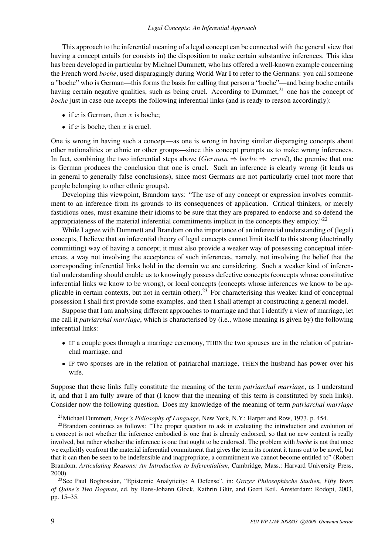#### *Legal Concepts: An Inferential Approach*

This approach to the inferential meaning of a legal concept can be connected with the general view that having a concept entails (or consists in) the disposition to make certain substantive inferences. This idea has been developed in particular by Michael Dummett, who has offered a well-known example concerning the French word *boche*, used disparagingly during World War I to refer to the Germans: you call someone a "boche" who is German—this forms the basis for calling that person a "boche"—and being boche entails having certain negative qualities, such as being cruel. According to Dummet.<sup>21</sup> one has the concept of *boche* just in case one accepts the following inferential links (and is ready to reason accordingly):

- if x is German, then x is boche;
- if x is boche, then x is cruel.

One is wrong in having such a concept—as one is wrong in having similar disparaging concepts about other nationalities or ethnic or other groups—since this concept prompts us to make wrong inferences. In fact, combining the two inferential steps above ( $German \Rightarrow boche \Rightarrow crude)$ , the premise that one is German produces the conclusion that one is cruel. Such an inference is clearly wrong (it leads us in general to generally false conclusions), since most Germans are not particularly cruel (not more that people belonging to other ethnic groups).

Developing this viewpoint, Brandom says: "The use of any concept or expression involves commitment to an inference from its grounds to its consequences of application. Critical thinkers, or merely fastidious ones, must examine their idioms to be sure that they are prepared to endorse and so defend the appropriateness of the material inferential commitments implicit in the concepts they employ."<sup>22</sup>

While I agree with Dummett and Brandom on the importance of an inferential understanding of (legal) concepts, I believe that an inferential theory of legal concepts cannot limit itself to this strong (doctrinally committing) way of having a concept; it must also provide a weaker way of possessing conceptual inferences, a way not involving the acceptance of such inferences, namely, not involving the belief that the corresponding inferential links hold in the domain we are considering. Such a weaker kind of inferential understanding should enable us to knowingly possess defective concepts (concepts whose constitutive inferential links we know to be wrong), or local concepts (concepts whose inferences we know to be applicable in certain contexts, but not in certain other).<sup>23</sup> For characterising this weaker kind of conceptual possession I shall first provide some examples, and then I shall attempt at constructing a general model.

Suppose that I am analysing different approaches to marriage and that I identify a view of marriage, let me call it *patriarchal marriage*, which is characterised by (i.e., whose meaning is given by) the following inferential links:

- IF a couple goes through a marriage ceremony, THEN the two spouses are in the relation of patriarchal marriage, and
- IF two spouses are in the relation of patriarchal marriage, THEN the husband has power over his wife.

Suppose that these links fully constitute the meaning of the term *patriarchal marriage*, as I understand it, and that I am fully aware of that (I know that the meaning of this term is constituted by such links). Consider now the following question. Does my knowledge of the meaning of term *patriarchal marriage*

<sup>21</sup>Michael Dummett, *Frege's Philosophy of Language*, New York, N.Y.: Harper and Row, 1973, p. 454.

<sup>&</sup>lt;sup>22</sup>Brandom continues as follows: "The proper question to ask in evaluating the introduction and evolution of a concept is not whether the inference embodied is one that is already endorsed, so that no new content is really involved, but rather whether the inference is one that ought to be endorsed. The problem with *boche* is not that once we explicitly confront the material inferential commitment that gives the term its content it turns out to be novel, but that it can then be seen to be indefensible and inappropriate, a commitment we cannot become entitled to" (Robert Brandom, *Articulating Reasons: An Introduction to Inferentialism*, Cambridge, Mass.: Harvard University Press, 2000).

<sup>23</sup>See Paul Boghossian, "Epistemic Analyticity: A Defense", in: *Grazer Philosophische Studien, Fifty Years of Quine's Two Dogmas*, ed. by Hans-Johann Glock, Kathrin Glür, and Geert Keil, Amsterdam: Rodopi, 2003, pp. 15–35.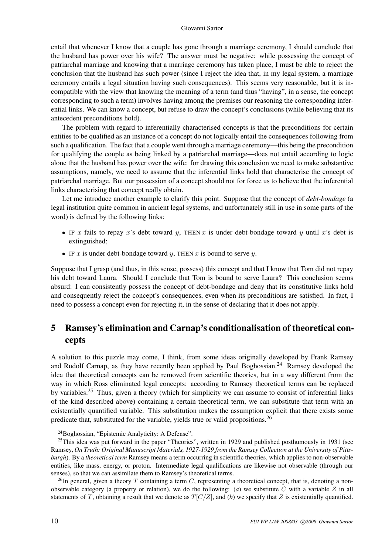#### Giovanni Sartor

entail that whenever I know that a couple has gone through a marriage ceremony, I should conclude that the husband has power over his wife? The answer must be negative: while possessing the concept of patriarchal marriage and knowing that a marriage ceremony has taken place, I must be able to reject the conclusion that the husband has such power (since I reject the idea that, in my legal system, a marriage ceremony entails a legal situation having such consequences). This seems very reasonable, but it is incompatible with the view that knowing the meaning of a term (and thus "having", in a sense, the concept corresponding to such a term) involves having among the premises our reasoning the corresponding inferential links. We can know a concept, but refuse to draw the concept's conclusions (while believing that its antecedent preconditions hold).

The problem with regard to inferentially characterised concepts is that the preconditions for certain entities to be qualified as an instance of a concept do not logically entail the consequences following from such a qualification. The fact that a couple went through a marriage ceremony—this being the precondition for qualifying the couple as being linked by a patriarchal marriage—does not entail according to logic alone that the husband has power over the wife: for drawing this conclusion we need to make substantive assumptions, namely, we need to assume that the inferential links hold that characterise the concept of patriarchal marriage. But our possession of a concept should not for force us to believe that the inferential links characterising that concept really obtain.

Let me introduce another example to clarify this point. Suppose that the concept of *debt-bondage* (a legal institution quite common in ancient legal systems, and unfortunately still in use in some parts of the word) is defined by the following links:

- IF x fails to repay x's debt toward y, THEN x is under debt-bondage toward y until x's debt is extinguished;
- IF x is under debt-bondage toward y, THEN x is bound to serve y.

Suppose that I grasp (and thus, in this sense, possess) this concept and that I know that Tom did not repay his debt toward Laura. Should I conclude that Tom is bound to serve Laura? This conclusion seems absurd: I can consistently possess the concept of debt-bondage and deny that its constitutive links hold and consequently reject the concept's consequences, even when its preconditions are satisfied. In fact, I need to possess a concept even for rejecting it, in the sense of declaring that it does not apply.

# 5 Ramsey's elimination and Carnap's conditionalisation of theoretical concepts

A solution to this puzzle may come, I think, from some ideas originally developed by Frank Ramsey and Rudolf Carnap, as they have recently been applied by Paul Boghossian.<sup>24</sup> Ramsey developed the idea that theoretical concepts can be removed from scientific theories, but in a way different from the way in which Ross eliminated legal concepts: according to Ramsey theoretical terms can be replaced by variables.<sup>25</sup> Thus, given a theory (which for simplicity we can assume to consist of inferential links of the kind described above) containing a certain theoretical term, we can substitute that term with an existentially quantified variable. This substitution makes the assumption explicit that there exists some predicate that, substituted for the variable, yields true or valid propositions.<sup>26</sup>

<sup>24</sup>Boghossian, "Epistemic Analyticity: A Defense".

<sup>&</sup>lt;sup>25</sup>This idea was put forward in the paper "Theories", written in 1929 and published posthumously in 1931 (see Ramsey, *On Truth: Original Manuscript Materials, 1927-1929 from the Ramsey Collection at the University of Pittsburgh*). By a *theoretical term* Ramsey means a term occurring in scientific theories, which applies to non-observable entities, like mass, energy, or proton. Intermediate legal qualifications are likewise not observable (through our senses), so that we can assimilate them to Ramsey's theoretical terms.

<sup>&</sup>lt;sup>26</sup>In general, given a theory T containing a term C, representing a theoretical concept, that is, denoting a nonobservable category (a property or relation), we do the following: (*a*) we substitute C with a variable Z in all statements of T, obtaining a result that we denote as  $T[C/Z]$ , and (*b*) we specify that Z is existentially quantified.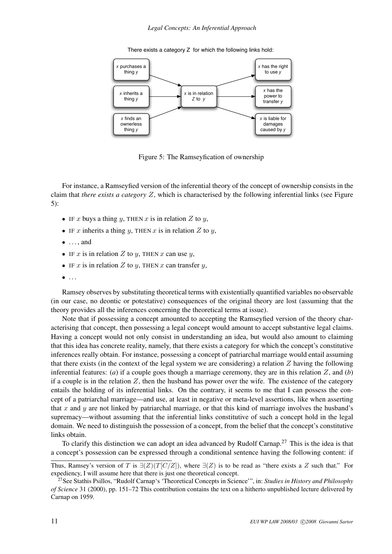#### *Legal Concepts: An Inferential Approach*

There exists a category Z for which the following links hold:



Figure 5: The Ramseyfication of ownership

For instance, a Ramseyfied version of the inferential theory of the concept of ownership consists in the claim that *there exists a category* Z, which is characterised by the following inferential links (see Figure 5):

- IF x buys a thing y, THEN x is in relation Z to y,
- IF x inherits a thing y, THEN x is in relation Z to y,
- $\bullet$  ... and
- IF x is in relation Z to y, THEN x can use y,
- IF x is in relation Z to y, THEN x can transfer y,
- $\bullet$  ...

Ramsey observes by substituting theoretical terms with existentially quantified variables no observable (in our case, no deontic or potestative) consequences of the original theory are lost (assuming that the theory provides all the inferences concerning the theoretical terms at issue).

Note that if possessing a concept amounted to accepting the Ramseyfied version of the theory characterising that concept, then possessing a legal concept would amount to accept substantive legal claims. Having a concept would not only consist in understanding an idea, but would also amount to claiming that this idea has concrete reality, namely, that there exists a category for which the concept's constitutive inferences really obtain. For instance, possessing a concept of patriarchal marriage would entail assuming that there exists (in the context of the legal system we are considering) a relation  $Z$  having the following inferential features: (*a*) if a couple goes though a marriage ceremony, they are in this relation  $Z$ , and (*b*) if a couple is in the relation  $Z$ , then the husband has power over the wife. The existence of the category entails the holding of its inferential links. On the contrary, it seems to me that I can possess the concept of a patriarchal marriage—and use, at least in negative or meta-level assertions, like when asserting that x and y are not linked by patriarchal marriage, or that this kind of marriage involves the husband's supremacy—without assuming that the inferential links constitutive of such a concept hold in the legal domain. We need to distinguish the possession of a concept, from the belief that the concept's constitutive links obtain.

To clarify this distinction we can adopt an idea advanced by Rudolf Carnap.<sup>27</sup> This is the idea is that a concept's possession can be expressed through a conditional sentence having the following content: if

Thus, Ramsey's version of T is  $\exists (Z)(T[C/Z])$ , where  $\exists (Z)$  is to be read as "there exists a Z such that." For expediency, I will assume here that there is just one theoretical concept.

<sup>27</sup>See Stathis Psillos, "Rudolf Carnap's 'Theoretical Concepts in Science'", in: *Studies in History and Philosophy of Science* 31 (2000), pp. 151–72 This contribution contains the text on a hitherto unpublished lecture delivered by Carnap on 1959.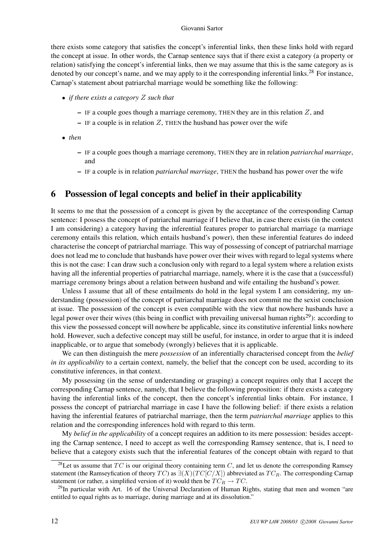#### Giovanni Sartor

there exists some category that satisfies the concept's inferential links, then these links hold with regard the concept at issue. In other words, the Carnap sentence says that if there exist a category (a property or relation) satisfying the concept's inferential links, then we may assume that this is the same category as is denoted by our concept's name, and we may apply to it the corresponding inferential links.<sup>28</sup> For instance, Carnap's statement about patriarchal marriage would be something like the following:

- *if there exists a category* Z *such that*
	- IF a couple goes though a marriage ceremony, THEN they are in this relation  $Z$ , and
	- IF a couple is in relation  $Z$ , THEN the husband has power over the wife
- *then*
	- IF a couple goes though a marriage ceremony, THEN they are in relation *patriarchal marriage*, and
	- IF a couple is in relation *patriarchal marriage*, THEN the husband has power over the wife

### 6 Possession of legal concepts and belief in their applicability

It seems to me that the possession of a concept is given by the acceptance of the corresponding Carnap sentence: I possess the concept of patriarchal marriage if I believe that, in case there exists (in the context I am considering) a category having the inferential features proper to patriarchal marriage (a marriage ceremony entails this relation, which entails husband's power), then these inferential features do indeed characterise the concept of patriarchal marriage. This way of possessing of concept of patriarchal marriage does not lead me to conclude that husbands have power over their wives with regard to legal systems where this is not the case: I can draw such a conclusion only with regard to a legal system where a relation exists having all the inferential properties of patriarchal marriage, namely, where it is the case that a (successful) marriage ceremony brings about a relation between husband and wife entailing the husband's power.

Unless I assume that all of these entailments do hold in the legal system I am considering, my understanding (possession) of the concept of patriarchal marriage does not commit me the sexist conclusion at issue. The possession of the concept is even compatible with the view that nowhere husbands have a legal power over their wives (this being in conflict with prevailing universal human rights<sup>29</sup>): according to this view the possessed concept will nowhere be applicable, since its constitutive inferential links nowhere hold. However, such a defective concept may still be useful, for instance, in order to argue that it is indeed inapplicable, or to argue that somebody (wrongly) believes that it is applicable.

We can then distinguish the mere *possession* of an inferentially characterised concept from the *belief in its applicability* to a certain context, namely, the belief that the concept con be used, according to its constitutive inferences, in that context.

My possessing (in the sense of understanding or grasping) a concept requires only that I accept the corresponding Carnap sentence, namely, that I believe the following proposition: if there exists a category having the inferential links of the concept, then the concept's inferential links obtain. For instance, I possess the concept of patriarchal marriage in case I have the following belief: if there exists a relation having the inferential features of patriarchal marriage, then the term *patriarchal marriage* applies to this relation and the corresponding inferences hold with regard to this term.

My *belief in the applicability* of a concept requires an addition to its mere possession: besides accepting the Carnap sentence, I need to accept as well the corresponding Ramsey sentence, that is, I need to believe that a category exists such that the inferential features of the concept obtain with regard to that

<sup>&</sup>lt;sup>28</sup>Let us assume that  $TC$  is our original theory containing term  $C$ , and let us denote the corresponding Ramsey statement (the Ramseyfication of theory  $TC$ ) as  $\exists (X)(TC[C/X])$  abbreviated as  $TC_R$ . The corresponding Carnap statement (or rather, a simplified version of it) would then be  $TC_R \rightarrow TC$ .

 $^{29}$ In particular with Art. 16 of the Universal Declaration of Human Rights, stating that men and women "are entitled to equal rights as to marriage, during marriage and at its dissolution."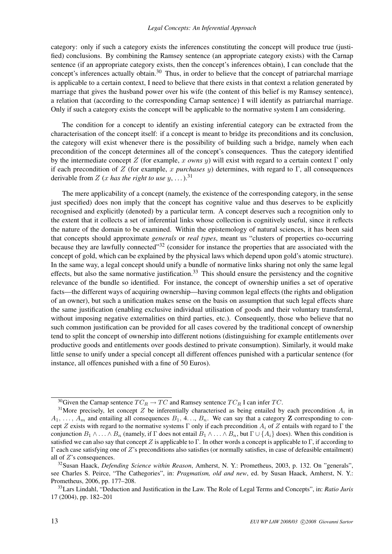#### *Legal Concepts: An Inferential Approach*

category: only if such a category exists the inferences constituting the concept will produce true (justified) conclusions. By combining the Ramsey sentence (an appropriate category exists) with the Carnap sentence (if an appropriate category exists, then the concept's inferences obtain), I can conclude that the concept's inferences actually obtain.<sup>30</sup> Thus, in order to believe that the concept of patriarchal marriage is applicable to a certain context, I need to believe that there exists in that context a relation generated by marriage that gives the husband power over his wife (the content of this belief is my Ramsey sentence), a relation that (according to the corresponding Carnap sentence) I will identify as patriarchal marriage. Only if such a category exists the concept will be applicable to the normative system I am considering.

The condition for a concept to identify an existing inferential category can be extracted from the characterisation of the concept itself: if a concept is meant to bridge its preconditions and its conclusion, the category will exist whenever there is the possibility of building such a bridge, namely when each precondition of the concept determines all of the concept's consequences. Thus the category identified by the intermediate concept Z (for example, x *owns* y) will exist with regard to a certain context  $\Gamma$  only if each precondition of Z (for example, x *purchases* y) determines, with regard to Γ, all consequences derivable from Z (x has the right to use  $y, \ldots$ ).<sup>31</sup>

The mere applicability of a concept (namely, the existence of the corresponding category, in the sense just specified) does non imply that the concept has cognitive value and thus deserves to be explicitly recognised and explicitly (denoted) by a particular term. A concept deserves such a recognition only to the extent that it collects a set of inferential links whose collection is cognitively useful, since it reflects the nature of the domain to be examined. Within the epistemology of natural sciences, it has been said that concepts should approximate *generals* or *real types*, meant us "clusters of properties co-occurring because they are lawfully connected"<sup>32</sup> (consider for instance the properties that are associated with the concept of gold, which can be explained by the physical laws which depend upon gold's atomic structure). In the same way, a legal concept should unify a bundle of normative links sharing not only the same legal effects, but also the same normative justification.<sup>33</sup> This should ensure the persistency and the cognitive relevance of the bundle so identified. For instance, the concept of ownership unifies a set of operative facts—the different ways of acquiring ownership—having common legal effects (the rights and obligation of an owner), but such a unification makes sense on the basis on assumption that such legal effects share the same justification (enabling exclusive individual utilisation of goods and their voluntary transferral, without imposing negative externalities on third parties, etc.). Consequently, those who believe that no such common justification can be provided for all cases covered by the traditional concept of ownership tend to split the concept of ownership into different notions (distinguishing for example entitlements over productive goods and entitlements over goods destined to private consumption). Similarly, it would make little sense to unify under a special concept all different offences punished with a particular sentence (for instance, all offences punished with a fine of 50 Euros).

<sup>&</sup>lt;sup>30</sup>Given the Carnap sentence  $TC_R \rightarrow TC$  and Ramsey sentence  $TC_R$  I can infer TC.

<sup>&</sup>lt;sup>31</sup>More precisely, let concept Z be inferentially characterised as being entailed by each precondition  $A_i$  in  $A_1, \ldots, A_m$  and entailing all consequences  $B_1, 4 \ldots, B_n$ . We can say that a category **Z** corresponding to concept Z exists with regard to the normative systems Γ only if each precondition  $A_i$  of Z entails with regard to Γ the conjunction  $B_1 \wedge \ldots \wedge B_n$  (namely, if  $\Gamma$  does not entail  $B_1 \wedge \ldots \wedge B_n$ , but  $\Gamma \cup \{A_i\}$  does). When this condition is satisfied we can also say that concept Z is applicable to  $\Gamma$ . In other words a concept is applicable to  $\Gamma$ , if according to  $\Gamma$  each case satisfying one of  $Z$ 's preconditions also satisfies (or normally satisfies, in case of defeasible entailment) all of Z's consequences.

<sup>32</sup>Susan Haack, *Defending Science within Reason*, Amherst, N. Y.: Prometheus, 2003, p. 132. On "generals", see Charles S. Peirce, "The Cathegories", in: *Pragmatism, old and new*, ed. by Susan Haack, Amherst, N. Y.: Prometheus, 2006, pp. 177–208.

<sup>33</sup>Lars Lindahl, "Deduction and Justification in the Law. The Role of Legal Terms and Concepts", in: *Ratio Juris* 17 (2004), pp. 182–201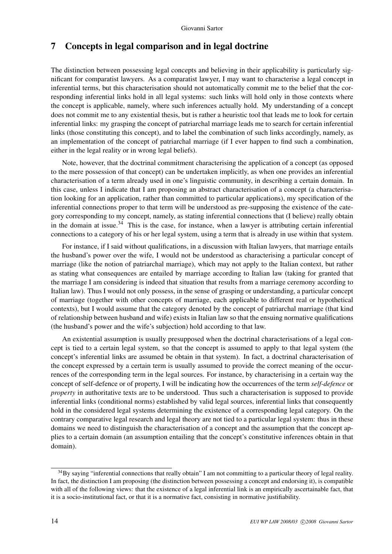# 7 Concepts in legal comparison and in legal doctrine

The distinction between possessing legal concepts and believing in their applicability is particularly significant for comparatist lawyers. As a comparatist lawyer, I may want to characterise a legal concept in inferential terms, but this characterisation should not automatically commit me to the belief that the corresponding inferential links hold in all legal systems: such links will hold only in those contexts where the concept is applicable, namely, where such inferences actually hold. My understanding of a concept does not commit me to any existential thesis, but is rather a heuristic tool that leads me to look for certain inferential links: my grasping the concept of patriarchal marriage leads me to search for certain inferential links (those constituting this concept), and to label the combination of such links accordingly, namely, as an implementation of the concept of patriarchal marriage (if I ever happen to find such a combination, either in the legal reality or in wrong legal beliefs).

Note, however, that the doctrinal commitment characterising the application of a concept (as opposed to the mere possession of that concept) can be undertaken implicitly, as when one provides an inferential characterisation of a term already used in one's linguistic community, in describing a certain domain. In this case, unless I indicate that I am proposing an abstract characterisation of a concept (a characterisation looking for an application, rather than committed to particular applications), my specification of the inferential connections proper to that term will be understood as pre-supposing the existence of the category corresponding to my concept, namely, as stating inferential connections that (I believe) really obtain in the domain at issue.<sup>34</sup> This is the case, for instance, when a lawyer is attributing certain inferential connections to a category of his or her legal system, using a term that is already in use within that system.

For instance, if I said without qualifications, in a discussion with Italian lawyers, that marriage entails the husband's power over the wife, I would not be understood as characterising a particular concept of marriage (like the notion of patriarchal marriage), which may not apply to the Italian context, but rather as stating what consequences are entailed by marriage according to Italian law (taking for granted that the marriage I am considering is indeed that situation that results from a marriage ceremony according to Italian law). Thus I would not only possess, in the sense of grasping or understanding, a particular concept of marriage (together with other concepts of marriage, each applicable to different real or hypothetical contexts), but I would assume that the category denoted by the concept of patriarchal marriage (that kind of relationship between husband and wife) exists in Italian law so that the ensuing normative qualifications (the husband's power and the wife's subjection) hold according to that law.

An existential assumption is usually presupposed when the doctrinal characterisations of a legal concept is tied to a certain legal system, so that the concept is assumed to apply to that legal system (the concept's inferential links are assumed be obtain in that system). In fact, a doctrinal characterisation of the concept expressed by a certain term is usually assumed to provide the correct meaning of the occurrences of the corresponding term in the legal sources. For instance, by characterising in a certain way the concept of self-defence or of property, I will be indicating how the occurrences of the term *self-defence* or *property* in authoritative texts are to be understood. Thus such a characterisation is supposed to provide inferential links (conditional norms) established by valid legal sources, inferential links that consequently hold in the considered legal systems determining the existence of a corresponding legal category. On the contrary comparative legal research and legal theory are not tied to a particular legal system: thus in these domains we need to distinguish the characterisation of a concept and the assumption that the concept applies to a certain domain (an assumption entailing that the concept's constitutive inferences obtain in that domain).

 $34$ By saying "inferential connections that really obtain" I am not committing to a particular theory of legal reality. In fact, the distinction I am proposing (the distinction between possessing a concept and endorsing it), is compatible with all of the following views: that the existence of a legal inferential link is an empirically ascertainable fact, that it is a socio-institutional fact, or that it is a normative fact, consisting in normative justifiability.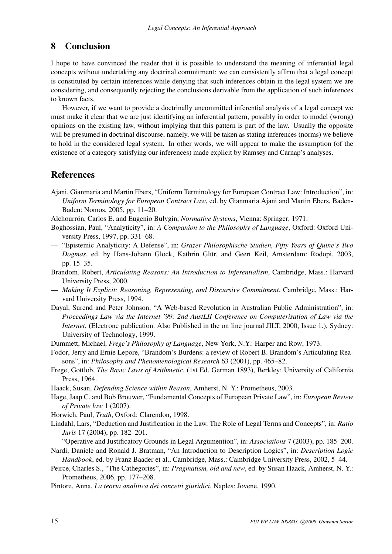# 8 Conclusion

I hope to have convinced the reader that it is possible to understand the meaning of inferential legal concepts without undertaking any doctrinal commitment: we can consistently affirm that a legal concept is constituted by certain inferences while denying that such inferences obtain in the legal system we are considering, and consequently rejecting the conclusions derivable from the application of such inferences to known facts.

However, if we want to provide a doctrinally uncommitted inferential analysis of a legal concept we must make it clear that we are just identifying an inferential pattern, possibly in order to model (wrong) opinions on the existing law, without implying that this pattern is part of the law. Usually the opposite will be presumed in doctrinal discourse, namely, we will be taken as stating inferences (norms) we believe to hold in the considered legal system. In other words, we will appear to make the assumption (of the existence of a category satisfying our inferences) made explicit by Ramsey and Carnap's analyses.

# References

- Ajani, Gianmaria and Martin Ebers, "Uniform Terminology for European Contract Law: Introduction", in: *Uniform Terminology for European Contract Law*, ed. by Gianmaria Ajani and Martin Ebers, Baden-Baden: Nomos, 2005, pp. 11–20.
- Alchourrón, Carlos E. and Eugenio Bulygin, *Normative Systems*, Vienna: Springer, 1971.
- Boghossian, Paul, "Analyticity", in: *A Companion to the Philosophy of Language*, Oxford: Oxford University Press, 1997, pp. 331–68.
- "Epistemic Analyticity: A Defense", in: *Grazer Philosophische Studien, Fifty Years of Quine's Two Dogmas*, ed. by Hans-Johann Glock, Kathrin Glür, and Geert Keil, Amsterdam: Rodopi, 2003, pp. 15–35.
- Brandom, Robert, *Articulating Reasons: An Introduction to Inferentialism*, Cambridge, Mass.: Harvard University Press, 2000.
- *Making It Explicit: Reasoning, Representing, and Discursive Commitment*, Cambridge, Mass.: Harvard University Press, 1994.
- Dayal, Surend and Peter Johnson, "A Web-based Revolution in Australian Public Administration", in: *Proceedings Law via the Internet '99: 2nd AustLII Conference on Computerisation of Law via the Internet*, (Electronc publication. Also Published in the on line journal JILT, 2000, Issue 1.), Sydney: University of Technology, 1999.
- Dummett, Michael, *Frege's Philosophy of Language*, New York, N.Y.: Harper and Row, 1973.
- Fodor, Jerry and Ernie Lepore, "Brandom's Burdens: a review of Robert B. Brandom's Articulating Reasons", in: *Philosophy and Phenomenological Research* 63 (2001), pp. 465–82.
- Frege, Gottlob, *The Basic Laws of Arithmetic*, (1st Ed. German 1893), Berkley: University of California Press, 1964.
- Haack, Susan, *Defending Science within Reason*, Amherst, N. Y.: Prometheus, 2003.
- Hage, Jaap C. and Bob Brouwer, "Fundamental Concepts of European Private Law", in: *European Review of Private law* 1 (2007).
- Horwich, Paul, *Truth*, Oxford: Clarendon, 1998.
- Lindahl, Lars, "Deduction and Justification in the Law. The Role of Legal Terms and Concepts", in: *Ratio Juris* 17 (2004), pp. 182–201.
- "Operative and Justificatory Grounds in Legal Argumention", in: *Associations* 7 (2003), pp. 185–200.
- Nardi, Daniele and Ronald J. Bratman, "An Introduction to Description Logics", in: *Description Logic Handbook*, ed. by Franz Baader et al., Cambridge, Mass.: Cambridge University Press, 2002, 5–44.
- Peirce, Charles S., "The Cathegories", in: *Pragmatism, old and new*, ed. by Susan Haack, Amherst, N. Y.: Prometheus, 2006, pp. 177–208.
- Pintore, Anna, *La teoria analitica dei concetti giuridici*, Naples: Jovene, 1990.